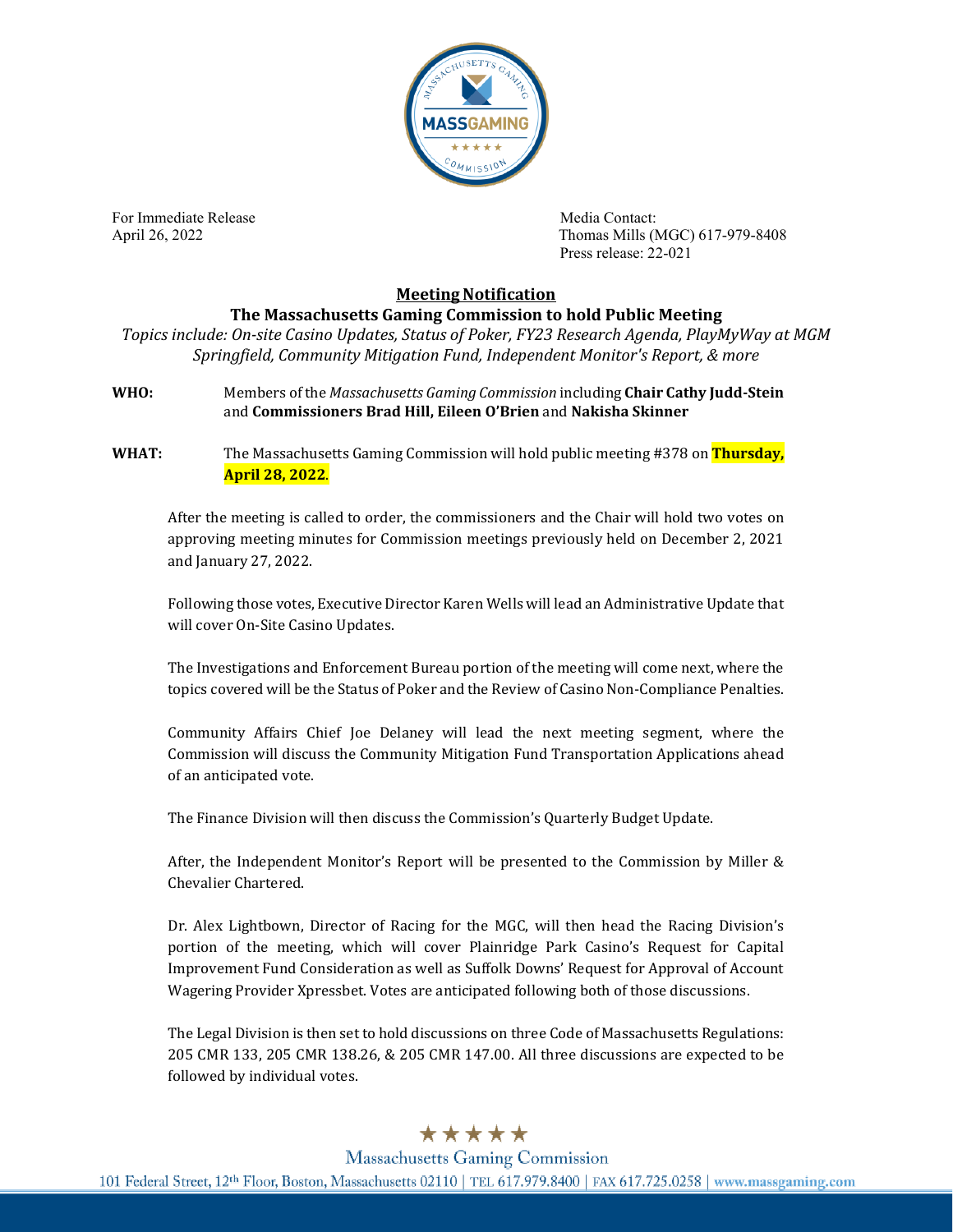

For Immediate Release **Media Contact:** Media Contact:

April 26, 2022 Thomas Mills (MGC) 617-979-8408 Press release: 22-021

## **Meeting Notification**

## **The Massachusetts Gaming Commission to hold Public Meeting**

*Topics include: On-site Casino Updates, Status of Poker, FY23 Research Agenda, PlayMyWay at MGM Springfield, Community Mitigation Fund, Independent Monitor's Report, & more*

**WHO:** Members of the *Massachusetts Gaming Commission* including **Chair Cathy Judd-Stein** and **Commissioners Brad Hill, Eileen O'Brien** and **Nakisha Skinner**

**WHAT:** The Massachusetts Gaming Commission will hold public meeting #378 on **Thursday, April 28, 2022**.

After the meeting is called to order, the commissioners and the Chair will hold two votes on approving meeting minutes for Commission meetings previously held on December 2, 2021 and January 27, 2022.

Following those votes, Executive Director Karen Wells will lead an Administrative Update that will cover On-Site Casino Updates.

The Investigations and Enforcement Bureau portion of the meeting will come next, where the topics covered will be the Status of Poker and the Review of Casino Non-Compliance Penalties.

Community Affairs Chief Joe Delaney will lead the next meeting segment, where the Commission will discuss the Community Mitigation Fund Transportation Applications ahead of an anticipated vote.

The Finance Division will then discuss the Commission's Quarterly Budget Update.

After, the Independent Monitor's Report will be presented to the Commission by Miller & Chevalier Chartered.

Dr. Alex Lightbown, Director of Racing for the MGC, will then head the Racing Division's portion of the meeting, which will cover Plainridge Park Casino's Request for Capital Improvement Fund Consideration as well as Suffolk Downs' Request for Approval of Account Wagering Provider Xpressbet. Votes are anticipated following both of those discussions.

The Legal Division is then set to hold discussions on three Code of Massachusetts Regulations: 205 CMR 133, 205 CMR 138.26, & 205 CMR 147.00. All three discussions are expected to be followed by individual votes.

## \*\*\*\*\*

**Massachusetts Gaming Commission** 101 Federal Street, 12th Floor, Boston, Massachusetts 02110 | TEL 617.979.8400 | FAX 617.725.0258 | www.massgaming.com